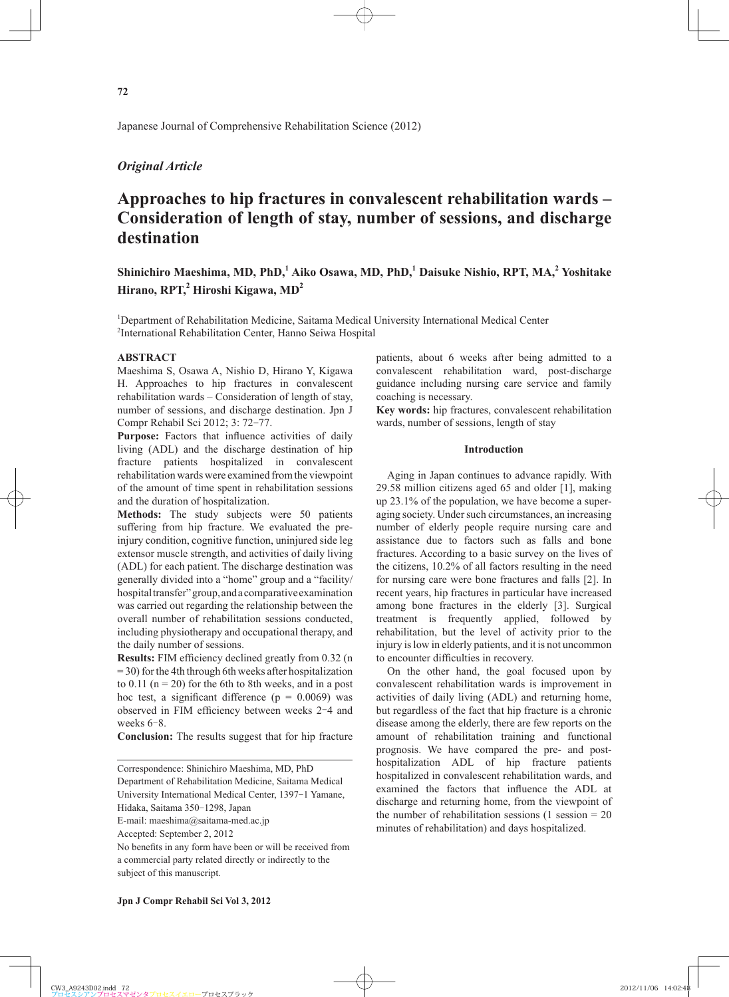Japanese Journal of Comprehensive Rehabilitation Science (2012)

# *Original Article*

# **Approaches to hip fractures in convalescent rehabilitation wards – Consideration of length of stay, number of sessions, and discharge destination**

# Shinichiro Maeshima, MD, PhD,<sup>1</sup> Aiko Osawa, MD, PhD,<sup>1</sup> Daisuke Nishio, RPT, MA,<sup>2</sup> Yoshitake Hirano, RPT,<sup>2</sup> Hiroshi Kigawa, MD<sup>2</sup>

1 Department of Rehabilitation Medicine, Saitama Medical University International Medical Center 2 International Rehabilitation Center, Hanno Seiwa Hospital

# **ABSTRACT**

Maeshima S, Osawa A, Nishio D, Hirano Y, Kigawa H. Approaches to hip fractures in convalescent rehabilitation wards – Consideration of length of stay, number of sessions, and discharge destination. Jpn J Compr Rehabil Sci 2012; 3: 72-77.

**Purpose:** Factors that influence activities of daily living (ADL) and the discharge destination of hip fracture patients hospitalized in convalescent rehabilitation wards were examined from the viewpoint of the amount of time spent in rehabilitation sessions and the duration of hospitalization.

**Methods:** The study subjects were 50 patients suffering from hip fracture. We evaluated the preinjury condition, cognitive function, uninjured side leg extensor muscle strength, and activities of daily living (ADL) for each patient. The discharge destination was generally divided into a "home" group and a "facility/ hospital transfer" group, and a comparative examination was carried out regarding the relationship between the overall number of rehabilitation sessions conducted, including physiotherapy and occupational therapy, and the daily number of sessions.

**Results:** FIM efficiency declined greatly from 0.32 (n) = 30) for the 4th through 6th weeks after hospitalization to  $0.11$  (n = 20) for the 6th to 8th weeks, and in a post hoc test, a significant difference ( $p = 0.0069$ ) was observed in FIM efficiency between weeks 2-4 and weeks  $6-8$ .

**Conclusion:** The results suggest that for hip fracture

Correspondence: Shinichiro Maeshima, MD, PhD

Department of Rehabilitation Medicine, Saitama Medical

University International Medical Center, 1397-1 Yamane,

Hidaka, Saitama 350-1298, Japan

Accepted: September 2, 2012

No benefits in any form have been or will be received from a commercial party related directly or indirectly to the subject of this manuscript.

patients, about 6 weeks after being admitted to a convalescent rehabilitation ward, post-discharge guidance including nursing care service and family coaching is necessary.

**Key words:** hip fractures, convalescent rehabilitation wards, number of sessions, length of stay

# **Introduction**

Aging in Japan continues to advance rapidly. With 29.58 million citizens aged 65 and older [1], making up 23.1% of the population, we have become a superaging society. Under such circumstances, an increasing number of elderly people require nursing care and assistance due to factors such as falls and bone fractures. According to a basic survey on the lives of the citizens, 10.2% of all factors resulting in the need for nursing care were bone fractures and falls [2]. In recent years, hip fractures in particular have increased among bone fractures in the elderly [3]. Surgical treatment is frequently applied, followed by rehabilitation, but the level of activity prior to the injury is low in elderly patients, and it is not uncommon to encounter difficulties in recovery.

On the other hand, the goal focused upon by convalescent rehabilitation wards is improvement in activities of daily living (ADL) and returning home, but regardless of the fact that hip fracture is a chronic disease among the elderly, there are few reports on the amount of rehabilitation training and functional prognosis. We have compared the pre- and posthospitalization ADL of hip fracture patients hospitalized in convalescent rehabilitation wards, and examined the factors that influence the ADL at discharge and returning home, from the viewpoint of the number of rehabilitation sessions (1 session  $= 20$ minutes of rehabilitation) and days hospitalized.

E-mail: maeshima@saitama-med.ac.jp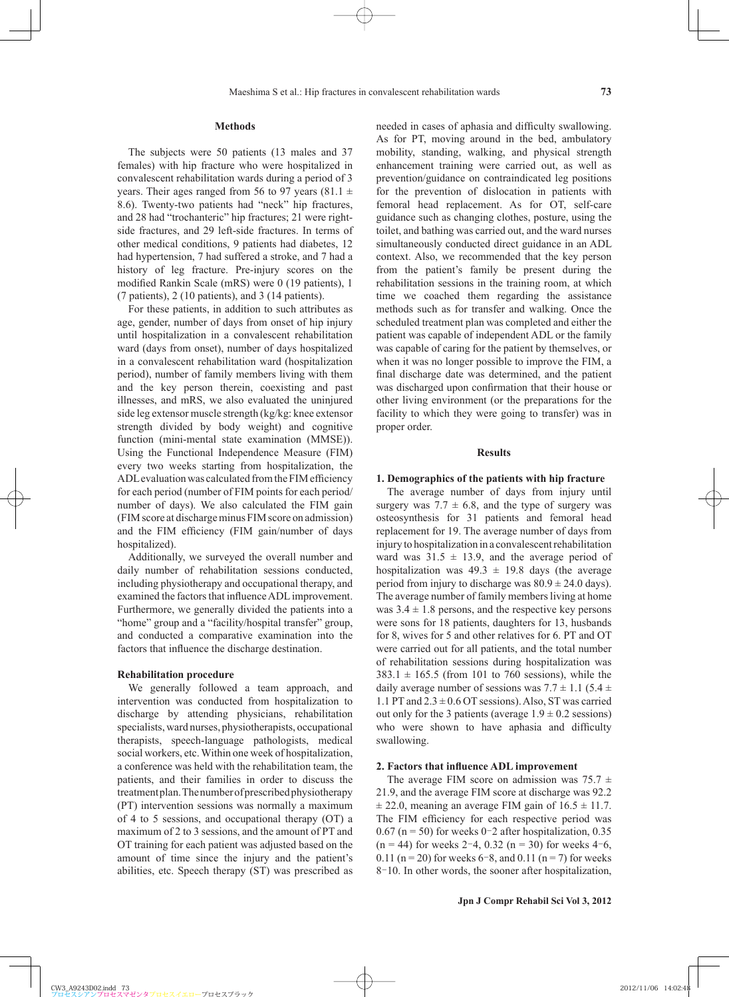# **Methods**

The subjects were 50 patients (13 males and 37 females) with hip fracture who were hospitalized in convalescent rehabilitation wards during a period of 3 years. Their ages ranged from 56 to 97 years (81.1  $\pm$ 8.6). Twenty-two patients had "neck" hip fractures, and 28 had "trochanteric" hip fractures; 21 were rightside fractures, and 29 left-side fractures. In terms of other medical conditions, 9 patients had diabetes, 12 had hypertension, 7 had suffered a stroke, and 7 had a history of leg fracture. Pre-injury scores on the modified Rankin Scale (mRS) were 0 (19 patients), 1 (7 patients), 2 (10 patients), and 3 (14 patients).

For these patients, in addition to such attributes as age, gender, number of days from onset of hip injury until hospitalization in a convalescent rehabilitation ward (days from onset), number of days hospitalized in a convalescent rehabilitation ward (hospitalization period), number of family members living with them and the key person therein, coexisting and past illnesses, and mRS, we also evaluated the uninjured side leg extensor muscle strength (kg/kg: knee extensor strength divided by body weight) and cognitive function (mini-mental state examination (MMSE)). Using the Functional Independence Measure (FIM) every two weeks starting from hospitalization, the ADL evaluation was calculated from the FIM efficiency for each period (number of FIM points for each period/ number of days). We also calculated the FIM gain (FIM score at discharge minus FIM score on admission) and the FIM efficiency (FIM gain/number of days hospitalized).

Additionally, we surveyed the overall number and daily number of rehabilitation sessions conducted, including physiotherapy and occupational therapy, and examined the factors that influence ADL improvement. Furthermore, we generally divided the patients into a "home" group and a "facility/hospital transfer" group, and conducted a comparative examination into the factors that influence the discharge destination.

# **Rehabilitation procedure**

We generally followed a team approach, and intervention was conducted from hospitalization to discharge by attending physicians, rehabilitation specialists, ward nurses, physiotherapists, occupational therapists, speech-language pathologists, medical social workers, etc. Within one week of hospitalization, a conference was held with the rehabilitation team, the patients, and their families in order to discuss the treatment plan. The number of prescribed physiotherapy (PT) intervention sessions was normally a maximum of 4 to 5 sessions, and occupational therapy (OT) a maximum of 2 to 3 sessions, and the amount of PT and OT training for each patient was adjusted based on the amount of time since the injury and the patient's abilities, etc. Speech therapy (ST) was prescribed as

needed in cases of aphasia and difficulty swallowing. As for PT, moving around in the bed, ambulatory mobility, standing, walking, and physical strength enhancement training were carried out, as well as prevention/guidance on contraindicated leg positions for the prevention of dislocation in patients with femoral head replacement. As for OT, self-care guidance such as changing clothes, posture, using the toilet, and bathing was carried out, and the ward nurses simultaneously conducted direct guidance in an ADL context. Also, we recommended that the key person from the patient's family be present during the rehabilitation sessions in the training room, at which time we coached them regarding the assistance methods such as for transfer and walking. Once the scheduled treatment plan was completed and either the patient was capable of independent ADL or the family was capable of caring for the patient by themselves, or when it was no longer possible to improve the FIM, a final discharge date was determined, and the patient was discharged upon confirmation that their house or other living environment (or the preparations for the facility to which they were going to transfer) was in proper order.

# **Results**

### **1. Demographics of the patients with hip fracture**

The average number of days from injury until surgery was  $7.7 \pm 6.8$ , and the type of surgery was osteosynthesis for 31 patients and femoral head replacement for 19. The average number of days from injury to hospitalization in a convalescent rehabilitation ward was  $31.5 \pm 13.9$ , and the average period of hospitalization was  $49.3 \pm 19.8$  days (the average period from injury to discharge was  $80.9 \pm 24.0$  days). The average number of family members living at home was  $3.4 \pm 1.8$  persons, and the respective key persons were sons for 18 patients, daughters for 13, husbands for 8, wives for 5 and other relatives for 6. PT and OT were carried out for all patients, and the total number of rehabilitation sessions during hospitalization was  $383.1 \pm 165.5$  (from 101 to 760 sessions), while the daily average number of sessions was  $7.7 \pm 1.1$  (5.4  $\pm$ 1.1 PT and  $2.3 \pm 0.6$  OT sessions). Also, ST was carried out only for the 3 patients (average  $1.9 \pm 0.2$  sessions) who were shown to have aphasia and difficulty swallowing.

### **2. Factors that influence ADL improvement**

The average FIM score on admission was  $75.7 \pm$ 21.9, and the average FIM score at discharge was 92.2  $\pm$  22.0, meaning an average FIM gain of 16.5  $\pm$  11.7. The FIM efficiency for each respective period was  $0.67$  (n = 50) for weeks 0-2 after hospitalization, 0.35  $(n = 44)$  for weeks 2–4, 0.32  $(n = 30)$  for weeks 4–6, 0.11 ( $n = 20$ ) for weeks 6–8, and 0.11 ( $n = 7$ ) for weeks 8–10. In other words, the sooner after hospitalization,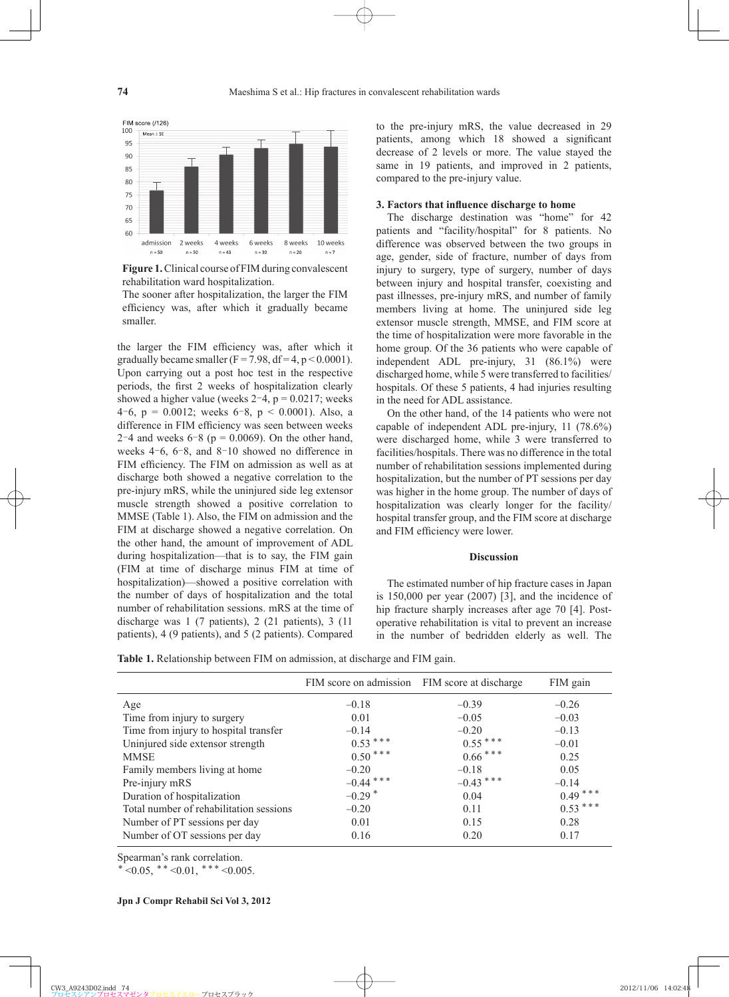

**Figure 1.** Clinical course of FIM during convalescent rehabilitation ward hospitalization.

The sooner after hospitalization, the larger the FIM efficiency was, after which it gradually became smaller.

the larger the FIM efficiency was, after which it gradually became smaller ( $F = 7.98$ , df = 4, p < 0.0001). Upon carrying out a post hoc test in the respective periods, the first 2 weeks of hospitalization clearly showed a higher value (weeks  $2-4$ ,  $p = 0.0217$ ; weeks 4–6, p = 0.0012; weeks 6–8, p < 0.0001). Also, a difference in FIM efficiency was seen between weeks 2–4 and weeks  $6-8$  ( $p = 0.0069$ ). On the other hand, weeks  $4-6$ ,  $6-8$ , and  $8-10$  showed no difference in FIM efficiency. The FIM on admission as well as at discharge both showed a negative correlation to the pre-injury mRS, while the uninjured side leg extensor muscle strength showed a positive correlation to MMSE (Table 1). Also, the FIM on admission and the FIM at discharge showed a negative correlation. On the other hand, the amount of improvement of ADL during hospitalization—that is to say, the FIM gain (FIM at time of discharge minus FIM at time of hospitalization)—showed a positive correlation with the number of days of hospitalization and the total number of rehabilitation sessions. mRS at the time of discharge was 1 (7 patients), 2 (21 patients), 3 (11 patients), 4 (9 patients), and 5 (2 patients). Compared

to the pre-injury mRS, the value decreased in 29 patients, among which 18 showed a significant decrease of 2 levels or more. The value stayed the same in 19 patients, and improved in 2 patients, compared to the pre-injury value.

#### **3. Factors that influence discharge to home**

The discharge destination was "home" for 42 patients and "facility/hospital" for 8 patients. No difference was observed between the two groups in age, gender, side of fracture, number of days from injury to surgery, type of surgery, number of days between injury and hospital transfer, coexisting and past illnesses, pre-injury mRS, and number of family members living at home. The uninjured side leg extensor muscle strength, MMSE, and FIM score at the time of hospitalization were more favorable in the home group. Of the 36 patients who were capable of independent ADL pre-injury, 31 (86.1%) were discharged home, while 5 were transferred to facilities/ hospitals. Of these 5 patients, 4 had injuries resulting in the need for ADL assistance.

On the other hand, of the 14 patients who were not capable of independent ADL pre-injury, 11 (78.6%) were discharged home, while 3 were transferred to facilities/hospitals. There was no difference in the total number of rehabilitation sessions implemented during hospitalization, but the number of PT sessions per day was higher in the home group. The number of days of hospitalization was clearly longer for the facility/ hospital transfer group, and the FIM score at discharge and FIM efficiency were lower.

# **Discussion**

The estimated number of hip fracture cases in Japan is 150,000 per year (2007) [3], and the incidence of hip fracture sharply increases after age 70 [4]. Postoperative rehabilitation is vital to prevent an increase in the number of bedridden elderly as well. The

**Table 1.** Relationship between FIM on admission, at discharge and FIM gain.

|                                         | FIM score on admission FIM score at discharge |             | FIM gain  |
|-----------------------------------------|-----------------------------------------------|-------------|-----------|
| Age                                     | $-0.18$                                       | $-0.39$     | $-0.26$   |
| Time from injury to surgery             | 0.01                                          | $-0.05$     | $-0.03$   |
| Time from injury to hospital transfer   | $-0.14$                                       | $-0.20$     | $-0.13$   |
| Uninjured side extensor strength        | $0.53***$                                     | $0.55***$   | $-0.01$   |
| <b>MMSE</b>                             | $0.50***$                                     | $0.66***$   | 0.25      |
| Family members living at home           | $-0.20$                                       | $-0.18$     | 0.05      |
| Pre-injury mRS                          | $-0.44$ ***                                   | $-0.43$ *** | $-0.14$   |
| Duration of hospitalization             | $-0.29$ <sup>*</sup>                          | 0.04        | $0.49***$ |
| Total number of rehabilitation sessions | $-0.20$                                       | 0.11        | $0.53***$ |
| Number of PT sessions per day           | 0.01                                          | 0.15        | 0.28      |
| Number of OT sessions per day           | 0.16                                          | 0.20        | 0.17      |

Spearman's rank correlation.

 $* < 0.05,$  \* \*  $< 0.01,$  \* \* \*  $< 0.005$ .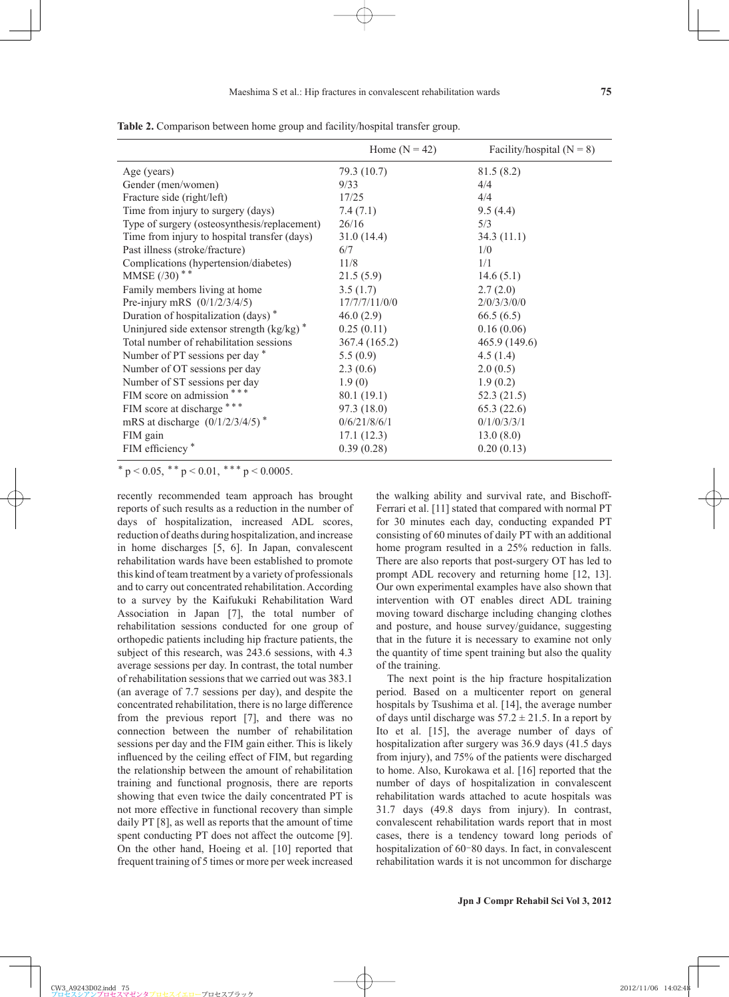|                                                                 | Home $(N = 42)$ | Facility/hospital $(N = 8)$ |
|-----------------------------------------------------------------|-----------------|-----------------------------|
| Age (years)                                                     | 79.3 (10.7)     | 81.5(8.2)                   |
| Gender (men/women)                                              | 9/33            | 4/4                         |
| Fracture side (right/left)                                      | 17/25           | 4/4                         |
| Time from injury to surgery (days)                              | 7.4(7.1)        | 9.5(4.4)                    |
| Type of surgery (osteosynthesis/replacement)                    | 26/16           | 5/3                         |
| Time from injury to hospital transfer (days)                    | 31.0(14.4)      | 34.3(11.1)                  |
| Past illness (stroke/fracture)                                  | 6/7             | 1/0                         |
| Complications (hypertension/diabetes)                           | 11/8            | 1/1                         |
| MMSE $(30)$ <sup>**</sup>                                       | 21.5(5.9)       | 14.6(5.1)                   |
| Family members living at home                                   | 3.5(1.7)        | 2.7(2.0)                    |
| Pre-injury mRS $(0/1/2/3/4/5)$                                  | 17/7/7/11/0/0   | 2/0/3/3/0/0                 |
| Duration of hospitalization (days) <sup>*</sup>                 | 46.0(2.9)       | 66.5(6.5)                   |
| Uninjured side extensor strength $\left(\frac{kg}{kg}\right)^*$ | 0.25(0.11)      | 0.16(0.06)                  |
| Total number of rehabilitation sessions                         | 367.4 (165.2)   | 465.9 (149.6)               |
| Number of PT sessions per day *                                 | 5.5(0.9)        | 4.5(1.4)                    |
| Number of OT sessions per day                                   | 2.3(0.6)        | 2.0(0.5)                    |
| Number of ST sessions per day                                   | 1.9(0)          | 1.9(0.2)                    |
| FIM score on admission ***                                      | 80.1 (19.1)     | 52.3(21.5)                  |
| FIM score at discharge ***                                      | 97.3(18.0)      | 65.3(22.6)                  |
| mRS at discharge $(0/1/2/3/4/5)$ <sup>*</sup>                   | 0/6/21/8/6/1    | 0/1/0/3/3/1                 |
| FIM gain                                                        | 17.1(12.3)      | 13.0(8.0)                   |
| FIM efficiency <sup>*</sup>                                     | 0.39(0.28)      | 0.20(0.13)                  |

**Table 2.** Comparison between home group and facility/hospital transfer group.

 $*$  p < 0.05,  $*$  + p < 0.01,  $*$   $*$  + p < 0.0005.

recently recommended team approach has brought reports of such results as a reduction in the number of days of hospitalization, increased ADL scores, reduction of deaths during hospitalization, and increase in home discharges [5, 6]. In Japan, convalescent rehabilitation wards have been established to promote this kind of team treatment by a variety of professionals and to carry out concentrated rehabilitation. According to a survey by the Kaifukuki Rehabilitation Ward Association in Japan [7], the total number of rehabilitation sessions conducted for one group of orthopedic patients including hip fracture patients, the subject of this research, was 243.6 sessions, with 4.3 average sessions per day. In contrast, the total number of rehabilitation sessions that we carried out was 383.1 (an average of 7.7 sessions per day), and despite the concentrated rehabilitation, there is no large difference from the previous report [7], and there was no connection between the number of rehabilitation sessions per day and the FIM gain either. This is likely influenced by the ceiling effect of FIM, but regarding the relationship between the amount of rehabilitation training and functional prognosis, there are reports showing that even twice the daily concentrated PT is not more effective in functional recovery than simple daily PT [8], as well as reports that the amount of time spent conducting PT does not affect the outcome [9]. On the other hand, Hoeing et al. [10] reported that frequent training of 5 times or more per week increased

the walking ability and survival rate, and Bischoff-Ferrari et al. [11] stated that compared with normal PT for 30 minutes each day, conducting expanded PT consisting of 60 minutes of daily PT with an additional home program resulted in a 25% reduction in falls. There are also reports that post-surgery OT has led to prompt ADL recovery and returning home [12, 13]. Our own experimental examples have also shown that intervention with OT enables direct ADL training moving toward discharge including changing clothes and posture, and house survey/guidance, suggesting that in the future it is necessary to examine not only the quantity of time spent training but also the quality of the training.

The next point is the hip fracture hospitalization period. Based on a multicenter report on general hospitals by Tsushima et al. [14], the average number of days until discharge was  $57.2 \pm 21.5$ . In a report by Ito et al. [15], the average number of days of hospitalization after surgery was 36.9 days (41.5 days from injury), and 75% of the patients were discharged to home. Also, Kurokawa et al. [16] reported that the number of days of hospitalization in convalescent rehabilitation wards attached to acute hospitals was 31.7 days (49.8 days from injury). In contrast, convalescent rehabilitation wards report that in most cases, there is a tendency toward long periods of hospitalization of 60-80 days. In fact, in convalescent rehabilitation wards it is not uncommon for discharge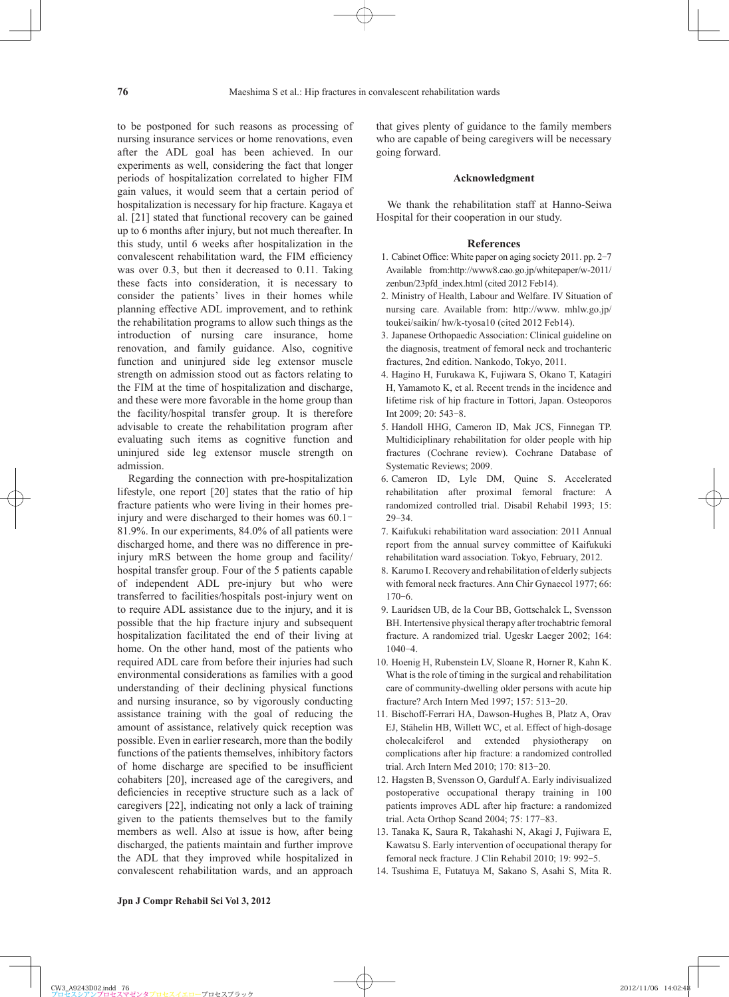to be postponed for such reasons as processing of nursing insurance services or home renovations, even after the ADL goal has been achieved. In our experiments as well, considering the fact that longer periods of hospitalization correlated to higher FIM gain values, it would seem that a certain period of hospitalization is necessary for hip fracture. Kagaya et al. [21] stated that functional recovery can be gained up to 6 months after injury, but not much thereafter. In this study, until 6 weeks after hospitalization in the convalescent rehabilitation ward, the FIM efficiency was over 0.3, but then it decreased to 0.11. Taking these facts into consideration, it is necessary to consider the patients' lives in their homes while planning effective ADL improvement, and to rethink the rehabilitation programs to allow such things as the introduction of nursing care insurance, home renovation, and family guidance. Also, cognitive function and uninjured side leg extensor muscle strength on admission stood out as factors relating to the FIM at the time of hospitalization and discharge, and these were more favorable in the home group than the facility/hospital transfer group. It is therefore advisable to create the rehabilitation program after evaluating such items as cognitive function and uninjured side leg extensor muscle strength on admission.

Regarding the connection with pre-hospitalization lifestyle, one report [20] states that the ratio of hip fracture patients who were living in their homes preinjury and were discharged to their homes was 60.1– 81.9%. In our experiments, 84.0% of all patients were discharged home, and there was no difference in preinjury mRS between the home group and facility/ hospital transfer group. Four of the 5 patients capable of independent ADL pre-injury but who were transferred to facilities/hospitals post-injury went on to require ADL assistance due to the injury, and it is possible that the hip fracture injury and subsequent hospitalization facilitated the end of their living at home. On the other hand, most of the patients who required ADL care from before their injuries had such environmental considerations as families with a good understanding of their declining physical functions and nursing insurance, so by vigorously conducting assistance training with the goal of reducing the amount of assistance, relatively quick reception was possible. Even in earlier research, more than the bodily functions of the patients themselves, inhibitory factors of home discharge are specified to be insufficient cohabiters [20], increased age of the caregivers, and deficiencies in receptive structure such as a lack of caregivers [22], indicating not only a lack of training given to the patients themselves but to the family members as well. Also at issue is how, after being discharged, the patients maintain and further improve the ADL that they improved while hospitalized in convalescent rehabilitation wards, and an approach that gives plenty of guidance to the family members who are capable of being caregivers will be necessary going forward.

# **Acknowledgment**

We thank the rehabilitation staff at Hanno-Seiwa Hospital for their cooperation in our study.

#### **References**

- 1. Cabinet Office: White paper on aging society 2011. pp. 2-7 Available from:http://www8.cao.go.jp/whitepaper/w-2011/ zenbun/23pfd\_index.html (cited 2012 Feb14).
- 2 . Ministry of Health, Labour and Welfare. IV Situation of nursing care. Available from: http://www. mhlw.go.jp/ toukei/saikin/ hw/k-tyosa10 (cited 2012 Feb14).
- 3 . Japanese Orthopaedic Association: Clinical guideline on the diagnosis, treatment of femoral neck and trochanteric fractures, 2nd edition. Nankodo, Tokyo, 2011.
- 4 . Hagino H, Furukawa K, Fujiwara S, Okano T, Katagiri H, Yamamoto K, et al. Recent trends in the incidence and lifetime risk of hip fracture in Tottori, Japan. Osteoporos Int 2009; 20: 543-8.
- 5 . Handoll HHG, Cameron ID, Mak JCS, Finnegan TP. Multidiciplinary rehabilitation for older people with hip fractures (Cochrane review). Cochrane Database of Systematic Reviews; 2009.
- 6 . Cameron ID, Lyle DM, Quine S. Accelerated rehabilitation after proximal femoral fracture: A randomized controlled trial. Disabil Rehabil 1993; 15: 29-34.
- 7 . Kaifukuki rehabilitation ward association: 2011 Annual report from the annual survey committee of Kaifukuki rehabilitation ward association. Tokyo, February, 2012.
- 8 . Karumo I. Recovery and rehabilitation of elderly subjects with femoral neck fractures. Ann Chir Gynaecol 1977; 66:  $170 - 6$ .
- 9 . Lauridsen UB, de la Cour BB, Gottschalck L, Svensson BH. Intertensive physical therapy after trochabtric femoral fracture. A randomized trial. Ugeskr Laeger 2002; 164:  $1040 - 4$ .
- 10 . Hoenig H, Rubenstein LV, Sloane R, Horner R, Kahn K. What is the role of timing in the surgical and rehabilitation care of community-dwelling older persons with acute hip fracture? Arch Intern Med 1997; 157: 513-20.
- 11 . Bischoff-Ferrari HA, Dawson-Hughes B, Platz A, Orav EJ, Stähelin HB, Willett WC, et al. Effect of high-dosage cholecalciferol and extended physiotherapy on complications after hip fracture: a randomized controlled trial. Arch Intern Med 2010; 170: 813-20.
- 12 . Hagsten B, Svensson O, Gardulf A. Early indivisualized postoperative occupational therapy training in 100 patients improves ADL after hip fracture: a randomized trial. Acta Orthop Scand 2004; 75: 177-83.
- 13 . Tanaka K, Saura R, Takahashi N, Akagi J, Fujiwara E, Kawatsu S. Early intervention of occupational therapy for femoral neck fracture. J Clin Rehabil 2010; 19: 992-5.
- 14 . Tsushima E, Futatuya M, Sakano S, Asahi S, Mita R.